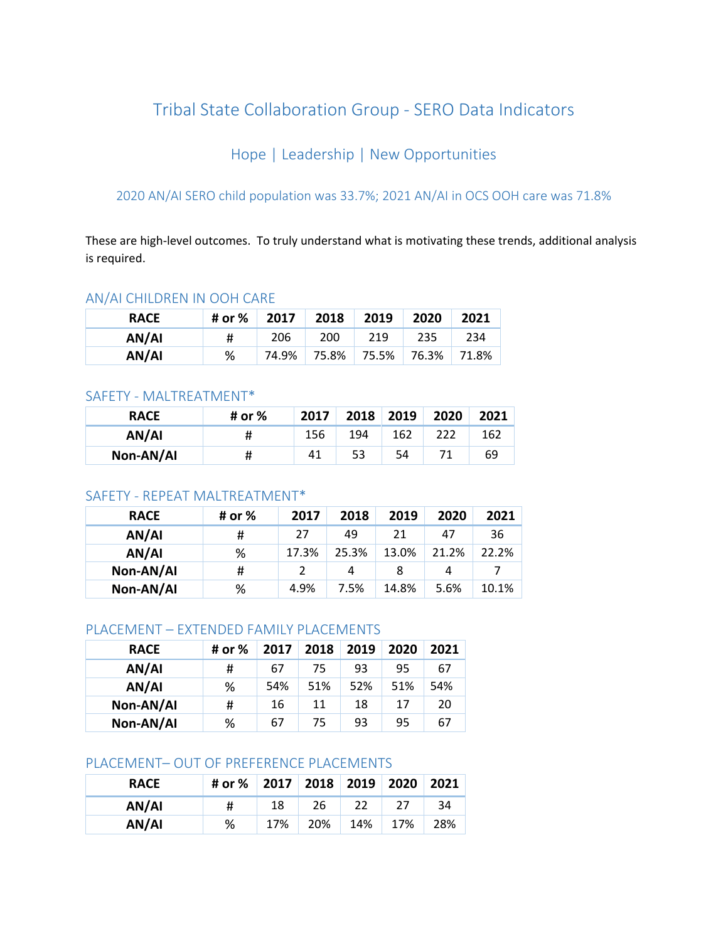# Tribal State Collaboration Group - SERO Data Indicators

# Hope | Leadership | New Opportunities

## 2020 AN/AI SERO child population was 33.7%; 2021 AN/AI in OCS OOH care was 71.8%

These are high-level outcomes. To truly understand what is motivating these trends, additional analysis is required.

#### AN/AI CHILDREN IN OOH CARE

| <b>RACE</b> | # or % | 2017  | 2018  | 2019  | 2020  | 2021  |
|-------------|--------|-------|-------|-------|-------|-------|
| AN/AI       | #      | 206   | 200   | 219   | 235   | 234   |
| AN/AI       | %      | 74.9% | 75.8% | 75.5% | 76.3% | 71.8% |

#### SAFETY - MALTREATMENT\*

| <b>RACE</b> | # or % | 2017 | 2018 | 2019 | 2020 | 2021 |
|-------------|--------|------|------|------|------|------|
| AN/AI       | Ħ      | 156  | 194  | 162  |      | 162  |
| Non-AN/AI   | #      | 41   | 53   | 54   |      | 69   |

### SAFETY - REPEAT MALTREATMENT\*

| <b>RACE</b> | # or % | 2017  | 2018  | 2019  | 2020  | 2021  |
|-------------|--------|-------|-------|-------|-------|-------|
| AN/AI       | #      | 27    | 49    | 21    | 47    | 36    |
| AN/AI       | %      | 17.3% | 25.3% | 13.0% | 21.2% | 22.2% |
| Non-AN/AI   | #      |       | 4     | 8     | 4     |       |
| Non-AN/AI   | %      | 4.9%  | 7.5%  | 14.8% | 5.6%  | 10.1% |

### PLACEMENT – EXTENDED FAMILY PLACEMENTS

| <b>RACE</b> | # or % | 2017 | 2018 | 2019 | 2020 | 2021 |
|-------------|--------|------|------|------|------|------|
| AN/AI       | #      | 67   | 75   | 93   | 95   | 67   |
| AN/AI       | %      | 54%  | 51%  | 52%  | 51%  | 54%  |
| Non-AN/AI   | #      | 16   | 11   | 18   | 17   | 20   |
| Non-AN/AI   | %      | 67   | 75   | 93   | 95   | 67   |

#### PLACEMENT– OUT OF PREFERENCE PLACEMENTS

| <b>RACE</b> | # or %   2017   2018   2019   2020   2021 |     |     |     |     |     |
|-------------|-------------------------------------------|-----|-----|-----|-----|-----|
| AN/AI       | #                                         | 18  | 26  | 22  |     | 34  |
| AN/AI       | %                                         | 17% | 20% | 14% | 17% | 28% |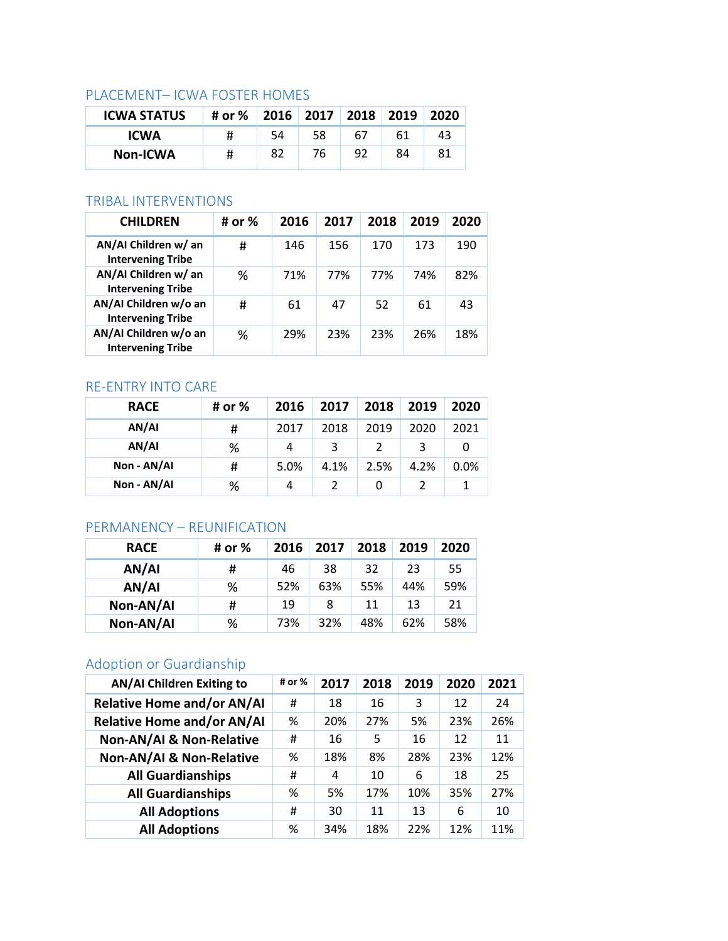## PLACEMENT– ICWA FOSTER HOMES

| <b>ICWA STATUS</b> | # or % 2016 2017 2018 2019 2020 |    |    |    |    |    |
|--------------------|---------------------------------|----|----|----|----|----|
| <b>ICWA</b>        | #                               | 54 | 58 | 67 | 61 | 43 |
| <b>Non-ICWA</b>    | #                               | 82 | 76 | 92 | 84 | 81 |

# TRIBAL INTERVENTIONS

| <b>CHILDREN</b>                                   | # or % | 2016 | 2017 | 2018 | 2019 | 2020 |
|---------------------------------------------------|--------|------|------|------|------|------|
| AN/AI Children w/ an<br><b>Intervening Tribe</b>  | #      | 146  | 156  | 170  | 173  | 190  |
| AN/AI Children w/ an<br><b>Intervening Tribe</b>  | ℅      | 71%  | 77%  | 77%  | 74%  | 82%  |
| AN/AI Children w/o an<br><b>Intervening Tribe</b> | #      | 61   | 47   | 52   | 61   | 43   |
| AN/AI Children w/o an<br><b>Intervening Tribe</b> | %      | 29%  | 23%  | 23%  | 26%  | 18%  |

## RE-ENTRY INTO CARE

| <b>RACE</b> | # or % | 2016 | 2017 | 2018 | 2019 | 2020 |
|-------------|--------|------|------|------|------|------|
| AN/AI       | #      | 2017 | 2018 | 2019 | 2020 | 2021 |
| AN/AI       | %      | 4    | 3    |      |      |      |
| Non - AN/AI | #      | 5.0% | 4.1% | 2.5% | 4.2% | 0.0% |
| Non - AN/AI | %      | 4    |      | 0    |      |      |

# PERMANENCY – REUNIFICATION

| <b>RACE</b> | # or % | 2016 | 2017 | 2018 | 2019 | 2020 |
|-------------|--------|------|------|------|------|------|
| AN/AI       | #      | 46   | 38   | 32   | 23   | 55   |
| AN/AI       | %      | 52%  | 63%  | 55%  | 44%  | 59%  |
| Non-AN/AI   | #      | 19   | 8    | 11   | 13   | 21   |
| Non-AN/AI   | %      | 73%  | 32%  | 48%  | 62%  | 58%  |

# Adoption or Guardianship

| <b>AN/AI Children Exiting to</b>    | # or % | 2017 | 2018 | 2019 | 2020 | 2021 |
|-------------------------------------|--------|------|------|------|------|------|
| <b>Relative Home and/or AN/AI</b>   | #      | 18   | 16   | 3    | 12   | 24   |
| <b>Relative Home and/or AN/AI</b>   | %      | 20%  | 27%  | 5%   | 23%  | 26%  |
| <b>Non-AN/AI &amp; Non-Relative</b> | #      | 16   | 5    | 16   | 12   | 11   |
| Non-AN/AI & Non-Relative            | %      | 18%  | 8%   | 28%  | 23%  | 12%  |
| <b>All Guardianships</b>            | #      | 4    | 10   | 6    | 18   | 25   |
| <b>All Guardianships</b>            | %      | 5%   | 17%  | 10%  | 35%  | 27%  |
| <b>All Adoptions</b>                | #      | 30   | 11   | 13   | 6    | 10   |
| <b>All Adoptions</b>                | %      | 34%  | 18%  | 22%  | 12%  | 11%  |